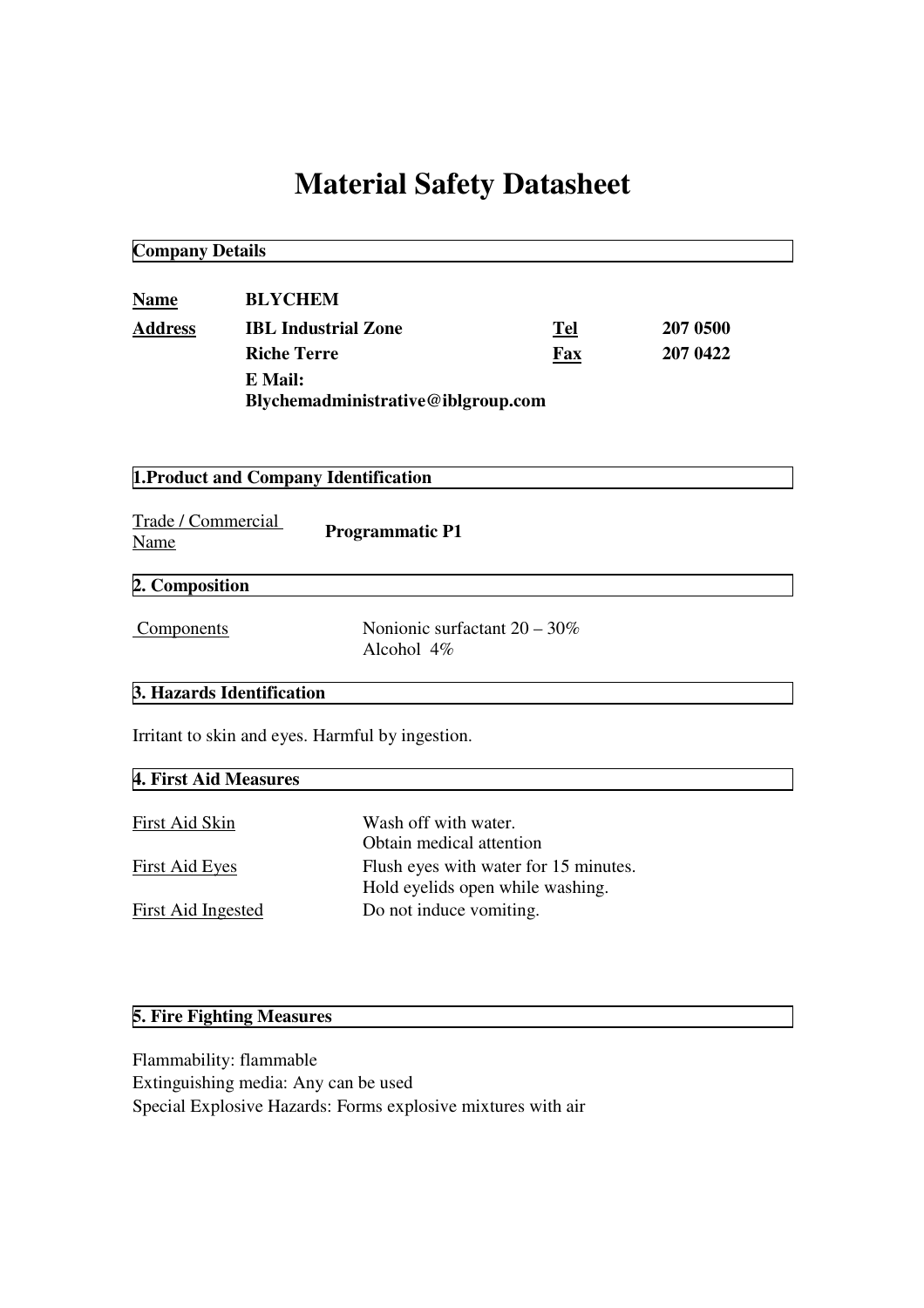# **Material Safety Datasheet**

**Company Details**

| <b>Name</b>    | <b>BLYCHEM</b>                     |     |          |  |
|----------------|------------------------------------|-----|----------|--|
| <b>Address</b> | <b>IBL Industrial Zone</b>         | Tel | 207 0500 |  |
|                | <b>Riche Terre</b>                 | Fax | 207 0422 |  |
|                | E Mail:                            |     |          |  |
|                | Blychemadministrative@iblgroup.com |     |          |  |

**1.Product and Company Identification**

| Trade / Commercial<br>Name | <b>Programmatic P1</b>                           |  |
|----------------------------|--------------------------------------------------|--|
| 2. Composition             |                                                  |  |
| Components                 | Nonionic surfactant $20 - 30\%$<br>Alcohol $4\%$ |  |

## **3. Hazards Identification**

Irritant to skin and eyes. Harmful by ingestion.

| 4. First Aid Measures |                                       |  |  |
|-----------------------|---------------------------------------|--|--|
|                       |                                       |  |  |
| First Aid Skin        | Wash off with water.                  |  |  |
|                       | Obtain medical attention              |  |  |
| <b>First Aid Eyes</b> | Flush eyes with water for 15 minutes. |  |  |
|                       | Hold eyelids open while washing.      |  |  |
| First Aid Ingested    | Do not induce vomiting.               |  |  |
|                       |                                       |  |  |

### **5. Fire Fighting Measures**

Flammability: flammable Extinguishing media: Any can be used Special Explosive Hazards: Forms explosive mixtures with air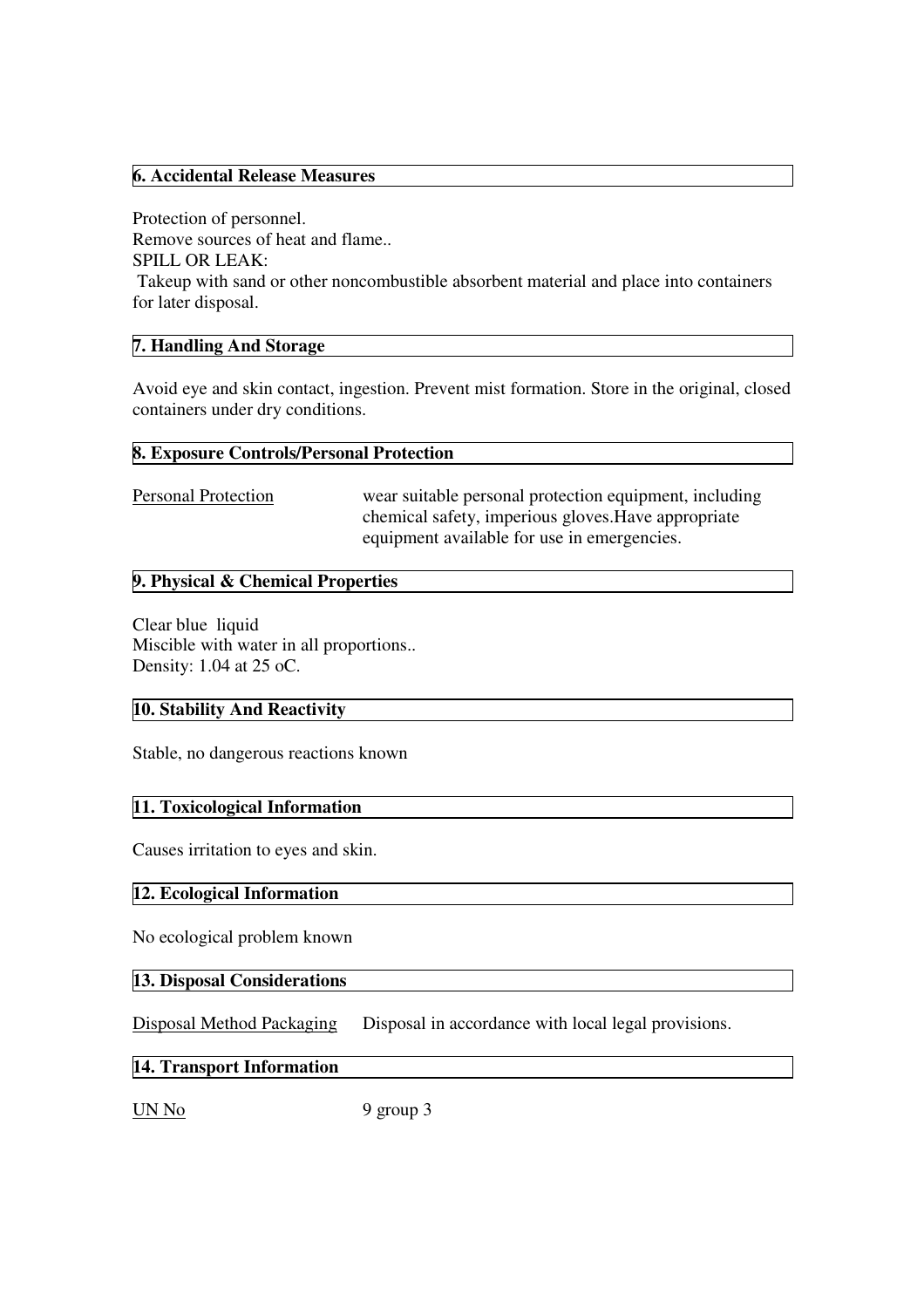#### **6. Accidental Release Measures**

Protection of personnel. Remove sources of heat and flame.. SPILL OR LEAK: Takeup with sand or other noncombustible absorbent material and place into containers for later disposal.

#### **7. Handling And Storage**

Avoid eye and skin contact, ingestion. Prevent mist formation. Store in the original, closed containers under dry conditions.

#### **8. Exposure Controls/Personal Protection**

Personal Protection wear suitable personal protection equipment, including chemical safety, imperious gloves.Have appropriate equipment available for use in emergencies.

#### **9. Physical & Chemical Properties**

Clear blue liquid Miscible with water in all proportions.. Density: 1.04 at 25 oC.

#### **10. Stability And Reactivity**

Stable, no dangerous reactions known

#### **11. Toxicological Information**

Causes irritation to eyes and skin.

#### **12. Ecological Information**

No ecological problem known

#### **13. Disposal Considerations**

Disposal Method Packaging Disposal in accordance with local legal provisions.

#### **14. Transport Information**

UN No 9 group 3